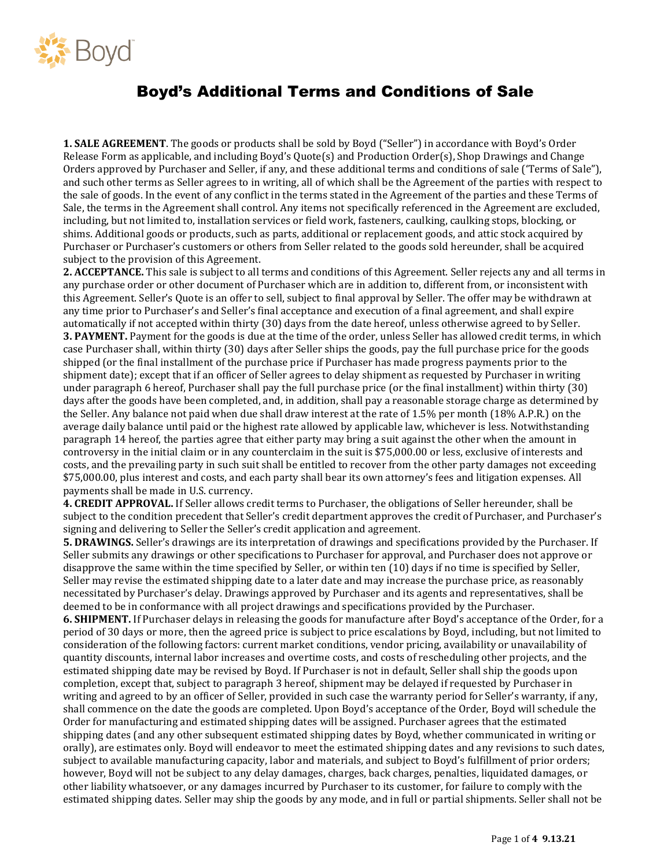

## Boyd's Additional Terms and Conditions of Sale

**1. SALE AGREEMENT**. The goods or products shall be sold by Boyd ("Seller") in accordance with Boyd's Order Release Form as applicable, and including Boyd's Quote(s) and Production Order(s), Shop Drawings and Change Orders approved by Purchaser and Seller, if any, and these additional terms and conditions of sale ('Terms of Sale"), and such other terms as Seller agrees to in writing, all of which shall be the Agreement of the parties with respect to the sale of goods. In the event of any conflict in the terms stated in the Agreement of the parties and these Terms of Sale, the terms in the Agreement shall control. Any items not specifically referenced in the Agreement are excluded, including, but not limited to, installation services or field work, fasteners, caulking, caulking stops, blocking, or shims. Additional goods or products, such as parts, additional or replacement goods, and attic stock acquired by Purchaser or Purchaser's customers or others from Seller related to the goods sold hereunder, shall be acquired subject to the provision of this Agreement.

**2. ACCEPTANCE.** This sale is subject to all terms and conditions of this Agreement. Seller rejects any and all terms in any purchase order or other document of Purchaser which are in addition to, different from, or inconsistent with this Agreement. Seller's Quote is an offer to sell, subject to final approval by Seller. The offer may be withdrawn at any time prior to Purchaser's and Seller's final acceptance and execution of a final agreement, and shall expire automatically if not accepted within thirty (30) days from the date hereof, unless otherwise agreed to by Seller. **3. PAYMENT.** Payment for the goods is due at the time of the order, unless Seller has allowed credit terms, in which case Purchaser shall, within thirty (30) days after Seller ships the goods, pay the full purchase price for the goods shipped (or the final installment of the purchase price if Purchaser has made progress payments prior to the shipment date); except that if an officer of Seller agrees to delay shipment as requested by Purchaser in writing under paragraph 6 hereof, Purchaser shall pay the full purchase price (or the final installment) within thirty (30) days after the goods have been completed, and, in addition, shall pay a reasonable storage charge as determined by the Seller. Any balance not paid when due shall draw interest at the rate of 1.5% per month (18% A.P.R.) on the average daily balance until paid or the highest rate allowed by applicable law, whichever is less. Notwithstanding paragraph 14 hereof, the parties agree that either party may bring a suit against the other when the amount in controversy in the initial claim or in any counterclaim in the suit is \$75,000.00 or less, exclusive of interests and costs, and the prevailing party in such suit shall be entitled to recover from the other party damages not exceeding \$75,000.00, plus interest and costs, and each party shall bear its own attorney's fees and litigation expenses. All payments shall be made in U.S. currency.

**4. CREDIT APPROVAL.** If Seller allows credit terms to Purchaser, the obligations of Seller hereunder, shall be subject to the condition precedent that Seller's credit department approves the credit of Purchaser, and Purchaser's signing and delivering to Seller the Seller's credit application and agreement.

**5. DRAWINGS.** Seller's drawings are its interpretation of drawings and specifications provided by the Purchaser. If Seller submits any drawings or other specifications to Purchaser for approval, and Purchaser does not approve or disapprove the same within the time specified by Seller, or within ten (10) days if no time is specified by Seller, Seller may revise the estimated shipping date to a later date and may increase the purchase price, as reasonably necessitated by Purchaser's delay. Drawings approved by Purchaser and its agents and representatives, shall be deemed to be in conformance with all project drawings and specifications provided by the Purchaser.

**6. SHIPMENT.** If Purchaser delays in releasing the goods for manufacture after Boyd's acceptance of the Order, for a period of 30 days or more, then the agreed price is subject to price escalations by Boyd, including, but not limited to consideration of the following factors: current market conditions, vendor pricing, availability or unavailability of quantity discounts, internal labor increases and overtime costs, and costs of rescheduling other projects, and the estimated shipping date may be revised by Boyd. If Purchaser is not in default, Seller shall ship the goods upon completion, except that, subject to paragraph 3 hereof, shipment may be delayed if requested by Purchaser in writing and agreed to by an officer of Seller, provided in such case the warranty period for Seller's warranty, if any, shall commence on the date the goods are completed. Upon Boyd's acceptance of the Order, Boyd will schedule the Order for manufacturing and estimated shipping dates will be assigned. Purchaser agrees that the estimated shipping dates (and any other subsequent estimated shipping dates by Boyd, whether communicated in writing or orally), are estimates only. Boyd will endeavor to meet the estimated shipping dates and any revisions to such dates, subject to available manufacturing capacity, labor and materials, and subject to Boyd's fulfillment of prior orders; however, Boyd will not be subject to any delay damages, charges, back charges, penalties, liquidated damages, or other liability whatsoever, or any damages incurred by Purchaser to its customer, for failure to comply with the estimated shipping dates. Seller may ship the goods by any mode, and in full or partial shipments. Seller shall not be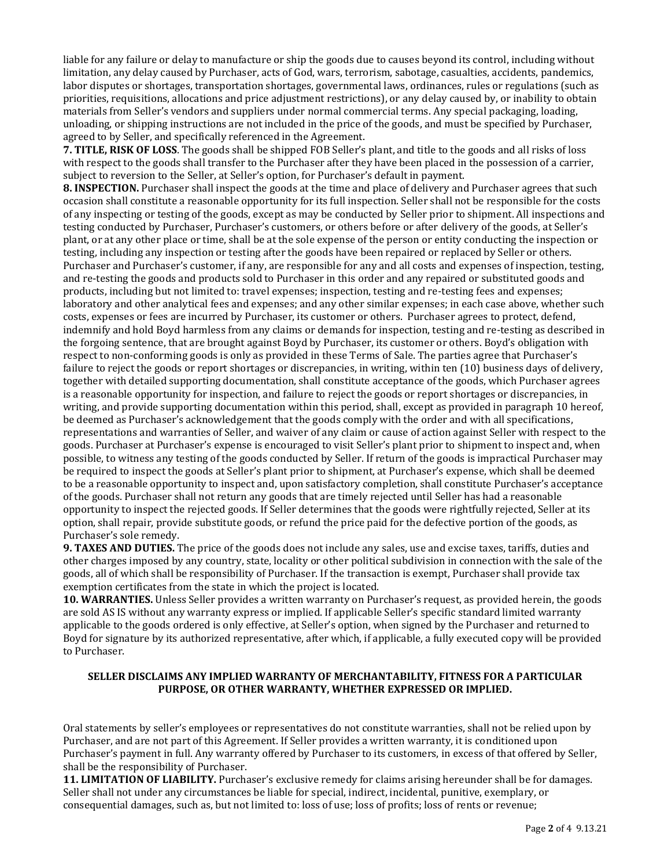liable for any failure or delay to manufacture or ship the goods due to causes beyond its control, including without limitation, any delay caused by Purchaser, acts of God, wars, terrorism, sabotage, casualties, accidents, pandemics, labor disputes or shortages, transportation shortages, governmental laws, ordinances, rules or regulations (such as priorities, requisitions, allocations and price adjustment restrictions), or any delay caused by, or inability to obtain materials from Seller's vendors and suppliers under normal commercial terms. Any special packaging, loading, unloading, or shipping instructions are not included in the price of the goods, and must be specified by Purchaser, agreed to by Seller, and specifically referenced in the Agreement.

**7. TITLE, RISK OF LOSS**. The goods shall be shipped FOB Seller's plant, and title to the goods and all risks of loss with respect to the goods shall transfer to the Purchaser after they have been placed in the possession of a carrier, subject to reversion to the Seller, at Seller's option, for Purchaser's default in payment.

**8. INSPECTION.** Purchaser shall inspect the goods at the time and place of delivery and Purchaser agrees that such occasion shall constitute a reasonable opportunity for its full inspection. Seller shall not be responsible for the costs of any inspecting or testing of the goods, except as may be conducted by Seller prior to shipment. All inspections and testing conducted by Purchaser, Purchaser's customers, or others before or after delivery of the goods, at Seller's plant, or at any other place or time, shall be at the sole expense of the person or entity conducting the inspection or testing, including any inspection or testing after the goods have been repaired or replaced by Seller or others. Purchaser and Purchaser's customer, if any, are responsible for any and all costs and expenses of inspection, testing, and re-testing the goods and products sold to Purchaser in this order and any repaired or substituted goods and products, including but not limited to: travel expenses; inspection, testing and re-testing fees and expenses; laboratory and other analytical fees and expenses; and any other similar expenses; in each case above, whether such costs, expenses or fees are incurred by Purchaser, its customer or others. Purchaser agrees to protect, defend, indemnify and hold Boyd harmless from any claims or demands for inspection, testing and re-testing as described in the forgoing sentence, that are brought against Boyd by Purchaser, its customer or others. Boyd's obligation with respect to non-conforming goods is only as provided in these Terms of Sale. The parties agree that Purchaser's failure to reject the goods or report shortages or discrepancies, in writing, within ten (10) business days of delivery, together with detailed supporting documentation, shall constitute acceptance of the goods, which Purchaser agrees is a reasonable opportunity for inspection, and failure to reject the goods or report shortages or discrepancies, in writing, and provide supporting documentation within this period, shall, except as provided in paragraph 10 hereof, be deemed as Purchaser's acknowledgement that the goods comply with the order and with all specifications, representations and warranties of Seller, and waiver of any claim or cause of action against Seller with respect to the goods. Purchaser at Purchaser's expense is encouraged to visit Seller's plant prior to shipment to inspect and, when possible, to witness any testing of the goods conducted by Seller. If return of the goods is impractical Purchaser may be required to inspect the goods at Seller's plant prior to shipment, at Purchaser's expense, which shall be deemed to be a reasonable opportunity to inspect and, upon satisfactory completion, shall constitute Purchaser's acceptance of the goods. Purchaser shall not return any goods that are timely rejected until Seller has had a reasonable opportunity to inspect the rejected goods. If Seller determines that the goods were rightfully rejected, Seller at its option, shall repair, provide substitute goods, or refund the price paid for the defective portion of the goods, as Purchaser's sole remedy.

**9. TAXES AND DUTIES.** The price of the goods does not include any sales, use and excise taxes, tariffs, duties and other charges imposed by any country, state, locality or other political subdivision in connection with the sale of the goods, all of which shall be responsibility of Purchaser. If the transaction is exempt, Purchaser shall provide tax exemption certificates from the state in which the project is located.

**10. WARRANTIES.** Unless Seller provides a written warranty on Purchaser's request, as provided herein, the goods are sold AS IS without any warranty express or implied. If applicable Seller's specific standard limited warranty applicable to the goods ordered is only effective, at Seller's option, when signed by the Purchaser and returned to Boyd for signature by its authorized representative, after which, if applicable, a fully executed copy will be provided to Purchaser.

## **SELLER DISCLAIMS ANY IMPLIED WARRANTY OF MERCHANTABILITY, FITNESS FOR A PARTICULAR PURPOSE, OR OTHER WARRANTY, WHETHER EXPRESSED OR IMPLIED.**

Oral statements by seller's employees or representatives do not constitute warranties, shall not be relied upon by Purchaser, and are not part of this Agreement. If Seller provides a written warranty, it is conditioned upon Purchaser's payment in full. Any warranty offered by Purchaser to its customers, in excess of that offered by Seller, shall be the responsibility of Purchaser.

**11. LIMITATION OF LIABILITY.** Purchaser's exclusive remedy for claims arising hereunder shall be for damages. Seller shall not under any circumstances be liable for special, indirect, incidental, punitive, exemplary, or consequential damages, such as, but not limited to: loss of use; loss of profits; loss of rents or revenue;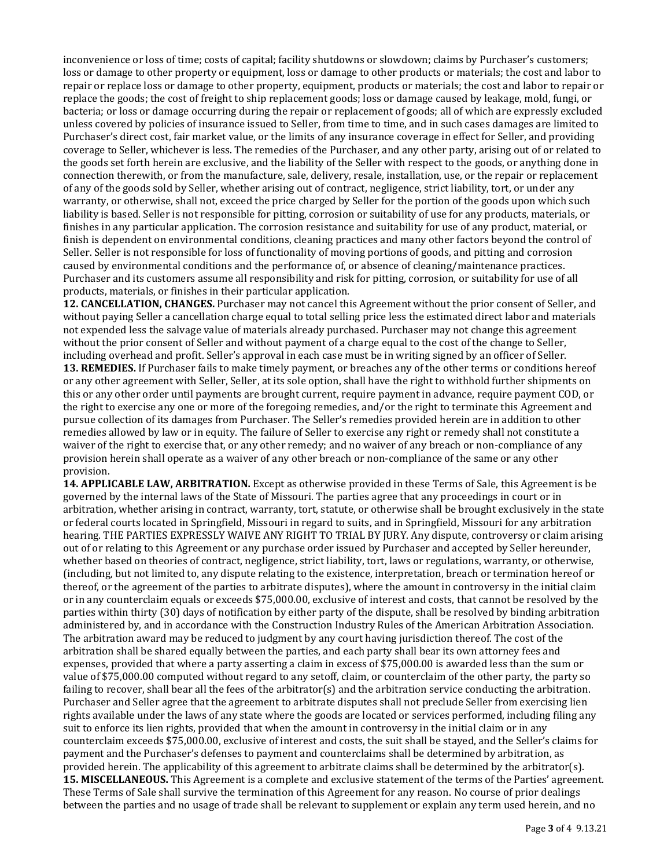inconvenience or loss of time; costs of capital; facility shutdowns or slowdown; claims by Purchaser's customers; loss or damage to other property or equipment, loss or damage to other products or materials; the cost and labor to repair or replace loss or damage to other property, equipment, products or materials; the cost and labor to repair or replace the goods; the cost of freight to ship replacement goods; loss or damage caused by leakage, mold, fungi, or bacteria; or loss or damage occurring during the repair or replacement of goods; all of which are expressly excluded unless covered by policies of insurance issued to Seller, from time to time, and in such cases damages are limited to Purchaser's direct cost, fair market value, or the limits of any insurance coverage in effect for Seller, and providing coverage to Seller, whichever is less. The remedies of the Purchaser, and any other party, arising out of or related to the goods set forth herein are exclusive, and the liability of the Seller with respect to the goods, or anything done in connection therewith, or from the manufacture, sale, delivery, resale, installation, use, or the repair or replacement of any of the goods sold by Seller, whether arising out of contract, negligence, strict liability, tort, or under any warranty, or otherwise, shall not, exceed the price charged by Seller for the portion of the goods upon which such liability is based. Seller is not responsible for pitting, corrosion or suitability of use for any products, materials, or finishes in any particular application. The corrosion resistance and suitability for use of any product, material, or finish is dependent on environmental conditions, cleaning practices and many other factors beyond the control of Seller. Seller is not responsible for loss of functionality of moving portions of goods, and pitting and corrosion caused by environmental conditions and the performance of, or absence of cleaning/maintenance practices. Purchaser and its customers assume all responsibility and risk for pitting, corrosion, or suitability for use of all products, materials, or finishes in their particular application.

**12. CANCELLATION, CHANGES.** Purchaser may not cancel this Agreement without the prior consent of Seller, and without paying Seller a cancellation charge equal to total selling price less the estimated direct labor and materials not expended less the salvage value of materials already purchased. Purchaser may not change this agreement without the prior consent of Seller and without payment of a charge equal to the cost of the change to Seller, including overhead and profit. Seller's approval in each case must be in writing signed by an officer of Seller.

**13. REMEDIES.** If Purchaser fails to make timely payment, or breaches any of the other terms or conditions hereof or any other agreement with Seller, Seller, at its sole option, shall have the right to withhold further shipments on this or any other order until payments are brought current, require payment in advance, require payment COD, or the right to exercise any one or more of the foregoing remedies, and/or the right to terminate this Agreement and pursue collection of its damages from Purchaser. The Seller's remedies provided herein are in addition to other remedies allowed by law or in equity. The failure of Seller to exercise any right or remedy shall not constitute a waiver of the right to exercise that, or any other remedy; and no waiver of any breach or non-compliance of any provision herein shall operate as a waiver of any other breach or non-compliance of the same or any other provision.

**14. APPLICABLE LAW, ARBITRATION.** Except as otherwise provided in these Terms of Sale, this Agreement is be governed by the internal laws of the State of Missouri. The parties agree that any proceedings in court or in arbitration, whether arising in contract, warranty, tort, statute, or otherwise shall be brought exclusively in the state or federal courts located in Springfield, Missouri in regard to suits, and in Springfield, Missouri for any arbitration hearing. THE PARTIES EXPRESSLY WAIVE ANY RIGHT TO TRIAL BY JURY. Any dispute, controversy or claim arising out of or relating to this Agreement or any purchase order issued by Purchaser and accepted by Seller hereunder, whether based on theories of contract, negligence, strict liability, tort, laws or regulations, warranty, or otherwise, (including, but not limited to, any dispute relating to the existence, interpretation, breach or termination hereof or thereof, or the agreement of the parties to arbitrate disputes), where the amount in controversy in the initial claim or in any counterclaim equals or exceeds \$75,000.00, exclusive of interest and costs, that cannot be resolved by the parties within thirty (30) days of notification by either party of the dispute, shall be resolved by binding arbitration administered by, and in accordance with the Construction Industry Rules of the American Arbitration Association. The arbitration award may be reduced to judgment by any court having jurisdiction thereof. The cost of the arbitration shall be shared equally between the parties, and each party shall bear its own attorney fees and expenses, provided that where a party asserting a claim in excess of \$75,000.00 is awarded less than the sum or value of \$75,000.00 computed without regard to any setoff, claim, or counterclaim of the other party, the party so failing to recover, shall bear all the fees of the arbitrator(s) and the arbitration service conducting the arbitration. Purchaser and Seller agree that the agreement to arbitrate disputes shall not preclude Seller from exercising lien rights available under the laws of any state where the goods are located or services performed, including filing any suit to enforce its lien rights, provided that when the amount in controversy in the initial claim or in any counterclaim exceeds \$75,000.00, exclusive of interest and costs, the suit shall be stayed, and the Seller's claims for payment and the Purchaser's defenses to payment and counterclaims shall be determined by arbitration, as provided herein. The applicability of this agreement to arbitrate claims shall be determined by the arbitrator(s). **15. MISCELLANEOUS.** This Agreement is a complete and exclusive statement of the terms of the Parties' agreement. These Terms of Sale shall survive the termination of this Agreement for any reason. No course of prior dealings between the parties and no usage of trade shall be relevant to supplement or explain any term used herein, and no